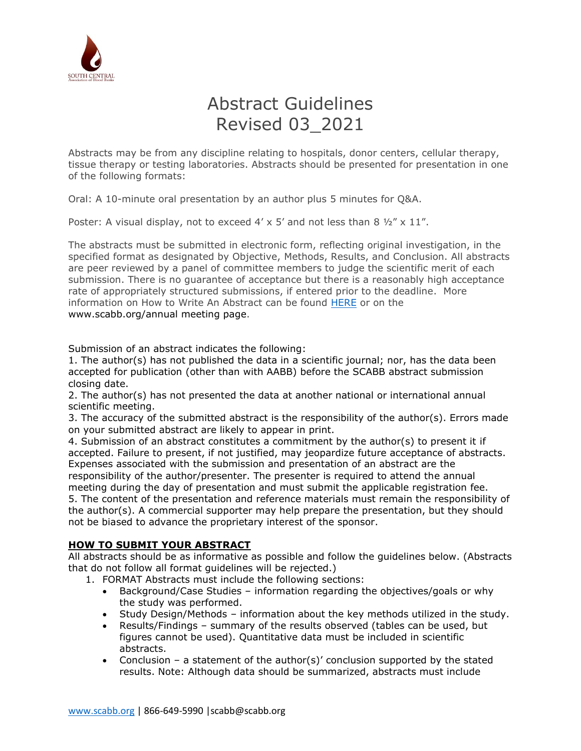

# Abstract Guidelines Revised 03\_2021

Abstracts may be from any discipline relating to hospitals, donor centers, cellular therapy, tissue therapy or testing laboratories. Abstracts should be presented for presentation in one of the following formats:

Oral: A 10-minute oral presentation by an author plus 5 minutes for Q&A.

Poster: A visual display, not to exceed  $4' \times 5'$  and not less than 8  $\frac{1}{2}$ " x 11".

The abstracts must be submitted in electronic form, reflecting original investigation, in the specified format as designated by Objective, Methods, Results, and Conclusion. All abstracts are peer reviewed by a panel of committee members to judge the scientific merit of each submission. There is no guarantee of acceptance but there is a reasonably high acceptance rate of appropriately structured submissions, if entered prior to the deadline. More information on How to Write An Abstract can be found [HERE](https://www.scabb.org/pdfs/am11/am09/how-to-write-abstract-09.pdf) or on the [www.scabb.org/annual](http://www.scabb.org/annual) meeting page.

Submission of an abstract indicates the following:

1. The author(s) has not published the data in a scientific journal; nor, has the data been accepted for publication (other than with AABB) before the SCABB abstract submission closing date.

2. The author(s) has not presented the data at another national or international annual scientific meeting.

3. The accuracy of the submitted abstract is the responsibility of the author(s). Errors made on your submitted abstract are likely to appear in print.

4. Submission of an abstract constitutes a commitment by the author(s) to present it if accepted. Failure to present, if not justified, may jeopardize future acceptance of abstracts. Expenses associated with the submission and presentation of an abstract are the responsibility of the author/presenter. The presenter is required to attend the annual meeting during the day of presentation and must submit the applicable registration fee. 5. The content of the presentation and reference materials must remain the responsibility of the author(s). A commercial supporter may help prepare the presentation, but they should not be biased to advance the proprietary interest of the sponsor.

# **HOW TO SUBMIT YOUR ABSTRACT**

All abstracts should be as informative as possible and follow the guidelines below. (Abstracts that do not follow all format guidelines will be rejected.)

1. FORMAT Abstracts must include the following sections:

- Background/Case Studies information regarding the objectives/goals or why the study was performed.
- Study Design/Methods information about the key methods utilized in the study.
- Results/Findings summary of the results observed (tables can be used, but figures cannot be used). Quantitative data must be included in scientific abstracts.
- Conclusion a statement of the author(s)' conclusion supported by the stated results. Note: Although data should be summarized, abstracts must include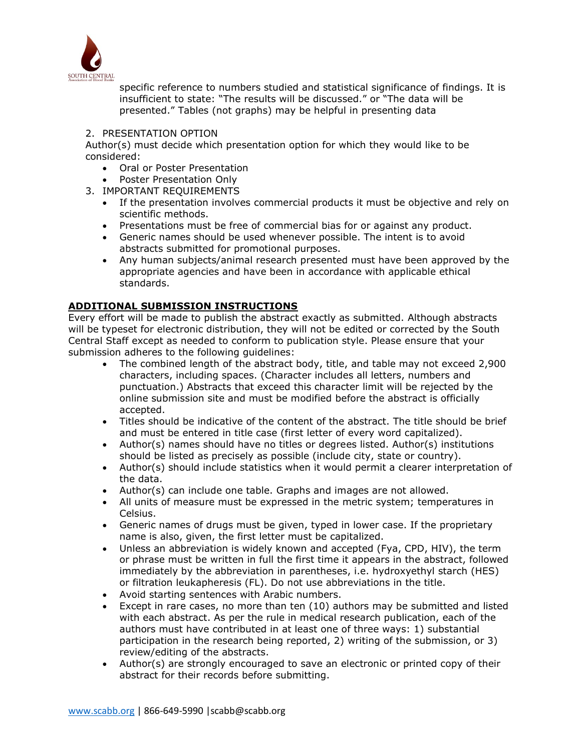

specific reference to numbers studied and statistical significance of findings. It is insufficient to state: "The results will be discussed." or "The data will be presented." Tables (not graphs) may be helpful in presenting data

### 2. PRESENTATION OPTION

Author(s) must decide which presentation option for which they would like to be considered:

- Oral or Poster Presentation
- Poster Presentation Only
- 3. IMPORTANT REQUIREMENTS
	- If the presentation involves commercial products it must be objective and rely on scientific methods.
	- Presentations must be free of commercial bias for or against any product.
	- Generic names should be used whenever possible. The intent is to avoid abstracts submitted for promotional purposes.
	- Any human subjects/animal research presented must have been approved by the appropriate agencies and have been in accordance with applicable ethical standards.

# **ADDITIONAL SUBMISSION INSTRUCTIONS**

Every effort will be made to publish the abstract exactly as submitted. Although abstracts will be typeset for electronic distribution, they will not be edited or corrected by the South Central Staff except as needed to conform to publication style. Please ensure that your submission adheres to the following guidelines:

- The combined length of the abstract body, title, and table may not exceed 2,900 characters, including spaces. (Character includes all letters, numbers and punctuation.) Abstracts that exceed this character limit will be rejected by the online submission site and must be modified before the abstract is officially accepted.
- Titles should be indicative of the content of the abstract. The title should be brief and must be entered in title case (first letter of every word capitalized).
- Author(s) names should have no titles or degrees listed. Author(s) institutions should be listed as precisely as possible (include city, state or country).
- Author(s) should include statistics when it would permit a clearer interpretation of the data.
- Author(s) can include one table. Graphs and images are not allowed.
- All units of measure must be expressed in the metric system; temperatures in Celsius.
- Generic names of drugs must be given, typed in lower case. If the proprietary name is also, given, the first letter must be capitalized.
- Unless an abbreviation is widely known and accepted (Fya, CPD, HIV), the term or phrase must be written in full the first time it appears in the abstract, followed immediately by the abbreviation in parentheses, i.e. hydroxyethyl starch (HES) or filtration leukapheresis (FL). Do not use abbreviations in the title.
- Avoid starting sentences with Arabic numbers.
- Except in rare cases, no more than ten (10) authors may be submitted and listed with each abstract. As per the rule in medical research publication, each of the authors must have contributed in at least one of three ways: 1) substantial participation in the research being reported, 2) writing of the submission, or 3) review/editing of the abstracts.
- Author(s) are strongly encouraged to save an electronic or printed copy of their abstract for their records before submitting.